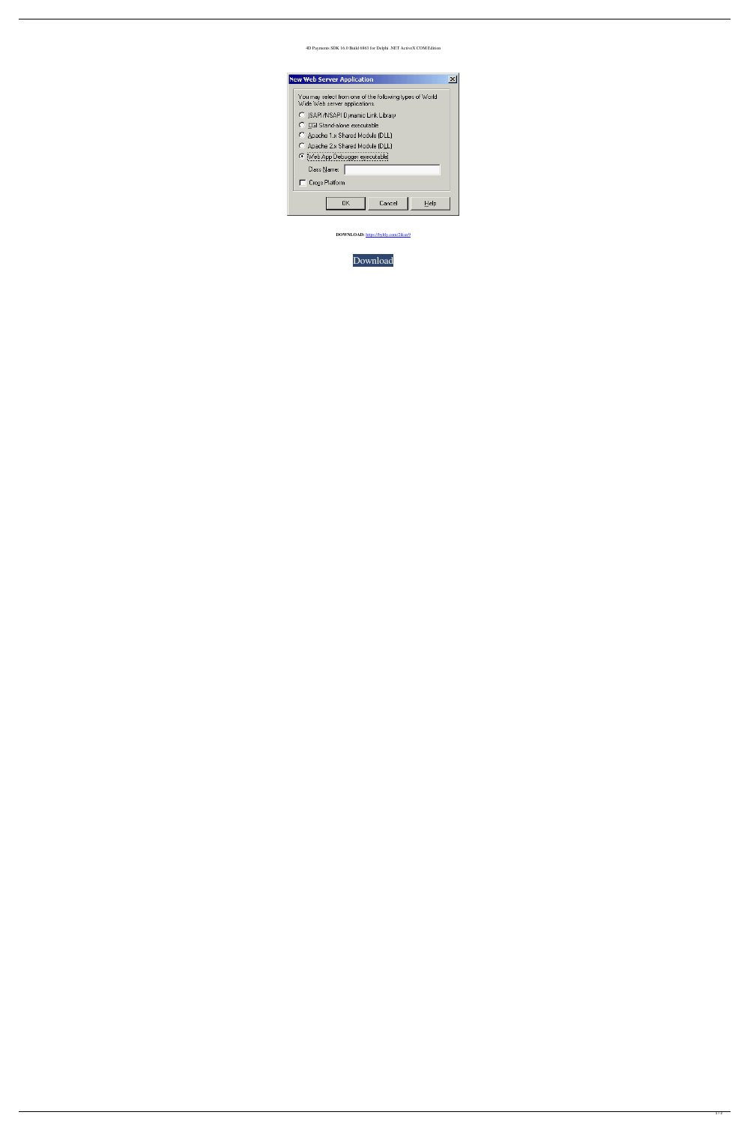## 4D Payments SDK 16.0 Build 6863 for Delphi .NET ActiveX COM Edition

| <b>New Web Server Application</b>                                                        |
|------------------------------------------------------------------------------------------|
| You may select from one of the following types of World<br>Wide Web server applications. |
| C ISAPI/NSAPI Dynamic Link Library                                                       |
| C CGI Stand-alone executable                                                             |
| C Apache 1.x Shared Module (DLL)                                                         |
| C Apache 2.x Shared Module (DLL)                                                         |
| <b>O</b> (Web App Debugger executable)                                                   |
| Class Name:                                                                              |
| <b>Cross Platform</b>                                                                    |
| ПK<br>Cancel<br>Help                                                                     |

**DOWNLOAD:** <https://byltly.com/2ikux9>